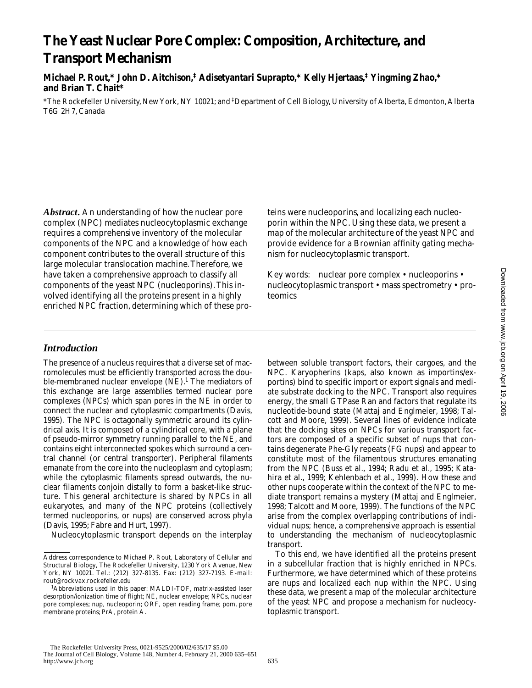# **The Yeast Nuclear Pore Complex: Composition, Architecture, and Transport Mechanism**

**Michael P. Rout,\* John D. Aitchison,‡ Adisetyantari Suprapto,\* Kelly Hjertaas,‡ Yingming Zhao,\* and Brian T. Chait\***

\*The Rockefeller University, New York, NY 10021; and ‡ Department of Cell Biology, University of Alberta, Edmonton, Alberta T6G 2H7, Canada

*Abstract.* An understanding of how the nuclear pore complex (NPC) mediates nucleocytoplasmic exchange requires a comprehensive inventory of the molecular components of the NPC and a knowledge of how each component contributes to the overall structure of this large molecular translocation machine. Therefore, we have taken a comprehensive approach to classify all components of the yeast NPC (nucleoporins). This involved identifying all the proteins present in a highly enriched NPC fraction, determining which of these proteins were nucleoporins, and localizing each nucleoporin within the NPC. Using these data, we present a map of the molecular architecture of the yeast NPC and provide evidence for a Brownian affinity gating mechanism for nucleocytoplasmic transport.

Key words: nuclear pore complex • nucleoporins • nucleocytoplasmic transport • mass spectrometry • proteomics

## *Introduction*

The presence of a nucleus requires that a diverse set of macromolecules must be efficiently transported across the double-membraned nuclear envelope (NE).<sup>1</sup> The mediators of this exchange are large assemblies termed nuclear pore complexes (NPCs) which span pores in the NE in order to connect the nuclear and cytoplasmic compartments (Davis, 1995). The NPC is octagonally symmetric around its cylindrical axis. It is composed of a cylindrical core, with a plane of pseudo-mirror symmetry running parallel to the NE, and contains eight interconnected spokes which surround a central channel (or central transporter). Peripheral filaments emanate from the core into the nucleoplasm and cytoplasm; while the cytoplasmic filaments spread outwards, the nuclear filaments conjoin distally to form a basket-like structure. This general architecture is shared by NPCs in all eukaryotes, and many of the NPC proteins (collectively termed nucleoporins, or nups) are conserved across phyla (Davis, 1995; Fabre and Hurt, 1997).

Nucleocytoplasmic transport depends on the interplay

between soluble transport factors, their cargoes, and the NPC. Karyopherins (kaps, also known as importins/exportins) bind to specific import or export signals and mediate substrate docking to the NPC. Transport also requires energy, the small GTPase Ran and factors that regulate its nucleotide-bound state (Mattaj and Englmeier, 1998; Talcott and Moore, 1999). Several lines of evidence indicate that the docking sites on NPCs for various transport factors are composed of a specific subset of nups that contains degenerate Phe-Gly repeats (FG nups) and appear to constitute most of the filamentous structures emanating from the NPC (Buss et al., 1994; Radu et al., 1995; Katahira et al., 1999; Kehlenbach et al., 1999). How these and other nups cooperate within the context of the NPC to mediate transport remains a mystery (Mattaj and Englmeier, 1998; Talcott and Moore, 1999). The functions of the NPC arise from the complex overlapping contributions of individual nups; hence, a comprehensive approach is essential to understanding the mechanism of nucleocytoplasmic transport.

To this end, we have identified all the proteins present in a subcellular fraction that is highly enriched in NPCs. Furthermore, we have determined which of these proteins are nups and localized each nup within the NPC. Using these data, we present a map of the molecular architecture of the yeast NPC and propose a mechanism for nucleocytoplasmic transport.

Address correspondence to Michael P. Rout, Laboratory of Cellular and Structural Biology, The Rockefeller University, 1230 York Avenue, New York, NY 10021. Tel.: (212) 327-8135. Fax: (212) 327-7193. E-mail: rout@rockvax.rockefeller.edu

<sup>1</sup> *Abbreviations used in this paper:* MALDI-TOF, matrix-assisted laser desorption/ionization time of flight; NE, nuclear envelope; NPCs, nuclear pore complexes; nup, nucleoporin; ORF, open reading frame; pom, pore membrane proteins; PrA, protein A.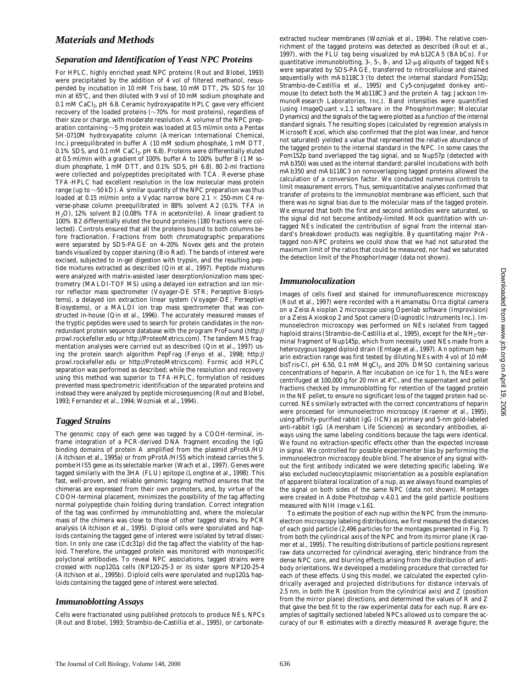## *Materials and Methods*

#### *Separation and Identification of Yeast NPC Proteins*

For HPLC, highly enriched yeast NPC proteins (Rout and Blobel, 1993) were precipitated by the addition of  $\overline{4}$  vol of filtered methanol, resuspended by incubation in 10 mM Tris base, 10 mM DTT, 2% SDS for 10 min at 65°C, and then diluted with 9 vol of 10 mM sodium phosphate and 0.1 mM CaCl<sub>2</sub>, pH 6.8. Ceramic hydroxyapatite HPLC gave very efficient recovery of the loaded proteins  $(\sim 70\%$  for most proteins), regardless of their size or charge, with moderate resolution. A volume of the NPC preparation containing  $\sim$ 5 mg protein was loaded at 0.5 ml/min onto a Pentax SH-0710M hydroxyapatite column (American International Chemical, Inc.) preequilibrated in buffer A (10 mM sodium phosphate, 1 mM DTT, 0.1% SDS, and 0.1 mM CaCl<sub>2</sub>, pH 6.8). Proteins were differentially eluted at 0.5 ml/min with a gradient of 100% buffer A to 100% buffer B (1 M sodium phosphate, 1 mM DTT, and 0.1% SDS, pH 6.8). 80 2-ml fractions were collected and polypeptides precipitated with TCA. Reverse phase TFA-HPLC had excellent resolution in the low molecular mass protein range (up to  $\sim$  50 kD). A similar quantity of the NPC preparation was thus loaded at 0.15 ml/min onto a Vydac narrow bore  $2.1 \times 250$ -mm C4 reverse-phase column preequilibrated in 88% solvent A2 (0.1% TFA in H2O), 12% solvent B2 (0.08% TFA in acetonitrile). A linear gradient to 100% B2 differentially eluted the bound proteins (180 fractions were collected). Controls ensured that all the proteins bound to both columns before fractionation. Fractions from both chromatographic preparations were separated by SDS-PAGE on 4–20% Novex gels and the protein bands visualized by copper staining (Bio Rad). The bands of interest were excised, subjected to in-gel digestion with trypsin, and the resulting peptide mixtures extracted as described (Qin et al., 1997). Peptide mixtures were analyzed with matrix-assisted laser desorption/ionization mass spectrometry (MALDI-TOF MS) using a delayed ion extraction and ion mirror reflector mass spectrometer (Voyager-DE STR; Perseptive Biosystems), a delayed ion extraction linear system (Voyager-DE; Perseptive Biosystems), or a MALDI ion trap mass spectrometer that was constructed in-house (Qin et al., 1996). The accurately measured masses of the tryptic peptides were used to search for protein candidates in the nonredundant protein sequence database with the program ProFound (http:// prowl.rockefeller.edu or http://ProteoMetrics.com). The tandem MS fragmentation analyses were carried out as described (Qin et al., 1997) using the protein search algorithm PepFrag (Fenyo et al., 1998; http:// prowl.rockefeller.edu or http://ProteoMetrics.com). Formic acid HPLC separation was performed as described; while the resolution and recovery using this method was superior to TFA-HPLC, formylation of residues prevented mass spectrometric identification of the separated proteins and instead they were analyzed by peptide microsequencing (Rout and Blobel, 1993; Fernandez et al., 1994; Wozniak et al., 1994).

## *Tagged Strains*

The genomic copy of each gene was tagged by a COOH-terminal, inframe integration of a PCR-derived DNA fragment encoding the IgG binding domains of protein A amplified from the plasmid pProtA/HU (Aitchison et al., 1995a) or from pProtA/HIS5 which instead carries the *S*. *pombe* HIS5 gene as its selectable marker (Wach et al., 1997). Genes were tagged similarly with the 3HA (FLU) epitope (Longtine et al., 1998). This fast, well-proven, and reliable genomic tagging method ensures that the chimeras are expressed from their own promoters, and, by virtue of the COOH-terminal placement, minimizes the possibility of the tag affecting normal polypeptide chain folding during translation. Correct integration of the tag was confirmed by immunoblotting and, where the molecular mass of the chimera was close to those of other tagged strains, by PCR analysis (Aitchison et al., 1995). Diploid cells were sporulated and haploids containing the tagged gene of interest were isolated by tetrad dissection. In only one case (Cdc31p) did the tag affect the viability of the haploid. Therefore, the untagged protein was monitored with monospecific polyclonal antibodies. To reveal NPC associations, tagged strains were crossed with  $nup120\Delta$  cells (NP120-25-3 or its sister spore NP120-25-4 (Aitchison et al., 1995b). Diploid cells were sporulated and *nup120*∆ haploids containing the tagged gene of interest were selected.

### *Immunoblotting Assays*

Cells were fractionated using published protocols to produce NEs, NPCs (Rout and Blobel, 1993; Strambio-de-Castillia et al., 1995), or carbonate-

extracted nuclear membranes (Wozniak et al., 1994). The relative coenrichment of the tagged proteins was detected as described (Rout et al., 1997), with the FLU tag being visualized by mAb12CA5 (BAbCo). For quantitative immunoblotting, 3-, 5-, 8-, and 12-µg aliquots of tagged NEs were separated by SDS-PAGE, transferred to nitrocellulose and stained sequentially with mAb118C3 (to detect the internal standard Pom152p; Strambio-de-Castillia et al., 1995) and Cy5-conjugated donkey anti– mouse (to detect both the Mab118C3 and the protein A tag; Jackson ImmunoResearch Laboratories, Inc.). Band intensities were quantified (using ImageQuant v.1.1 software in the PhosphorImager; Molecular Dynamics) and the signals of the tag were plotted as a function of the internal standard signals. The resulting slopes (calculated by regression analysis in Microsoft Excel, which also confirmed that the plot was linear, and hence not saturated) yielded a value that represented the relative abundance of the tagged protein to the internal standard in the NPC. In some cases the Pom152p band overlapped the tag signal, and so Nup57p (detected with mAb350) was used as the internal standard; parallel incubations with both mAb350 and mAb118C3 on nonoverlapping tagged proteins allowed the calculation of a conversion factor. We conducted numerous controls to limit measurement errors. Thus, semiquantitative analyses confirmed that transfer of proteins to the immunoblot membrane was efficient, such that there was no signal bias due to the molecular mass of the tagged protein. We ensured that both the first and second antibodies were saturated, so the signal did not become antibody-limited. Mock quantitation with untagged NEs indicated the contribution of signal from the internal standard's breakdown products was negligible. By quantitating major PrAtagged non-NPC proteins we could show that we had not saturated the maximum limit of the ratios that could be measured, nor had we saturated the detection limit of the PhosphorImager (data not shown).

### *Immunolocalization*

Images of cells fixed and stained for immunofluorescence microscopy (Rout et al., 1997) were recorded with a Hamamatsu Orca digital camera on a Zeiss Axioplan 2 microscope using Openlab software (Improvision) or a Zeiss Axioskop 2 and Spot camera (Diagnostic Instruments Inc.). Immunoelectron microscopy was performed on NEs isolated from tagged haploid strains (Strambio-de-Castillia et al., 1995), except for the NH<sub>2</sub>-terminal fragment of Nup145p, which from necessity used NEs made from a heterozygous tagged diploid strain (Emtage et al., 1997). An optimum heparin extraction range was first tested by diluting NEs with 4 vol of 10 mM bisTris-Cl, pH  $6.50$ , 0.1 mM MgCl, and  $20\%$  DMSO containing various concentrations of heparin. After incubation on ice for 1 h, the NEs were centrifuged at 100,000  $g$  for 20 min at  $4^{\circ}$ C, and the supernatant and pellet fractions checked by immunoblotting for retention of the tagged protein in the NE pellet, to ensure no significant loss of the tagged protein had occurred. NEs similarly extracted with the correct concentrations of heparin were processed for immunoelectron microscopy (Kraemer et al., 1995), using affinity-purified rabbit IgG (ICN) as primary and 5-nm gold-labeled anti-rabbit IgG (Amersham Life Sciences) as secondary antibodies, always using the same labeling conditions because the tags were identical. We found no extraction-specific effects other than the expected increase in signal. We controlled for possible experimenter bias by performing the immunoelectron microscopy double blind. The absence of any signal without the first antibody indicated we were detecting specific labeling. We also excluded nucleocytoplasmic misorientation as a possible explanation of apparent bilateral localization of a nup, as we always found examples of the signal on both sides of the same NPC (data not shown). Montages were created in Adobe Photoshop v.4.0.1 and the gold particle positions measured with NIH Image v.1.61.

To estimate the position of each nup within the NPC from the immunoelectron microscopy labeling distributions, we first measured the distances of each gold particle (2,496 particles for the montages presented in Fig. 7) from both the cylindrical axis of the NPC and from its mirror plane (Kraemer et al., 1995). The resulting distributions of particle positions represent raw data uncorrected for cylindrical averaging, steric hindrance from the dense NPC core, and blurring effects arising from the distribution of antibody orientations. We developed a modeling procedure that corrected for each of these effects. Using this model, we calculated the expected cylindrically averaged and projected distributions for distance intervals of 2.5 nm, in both the R (position from the cylindrical axis) and Z (position from the mirror plane) directions, and determined the values of R and Z that gave the best fit to the raw experimental data for each nup. Rare examples of sagittally sectioned labeled NPCs allowed us to compare the accuracy of our R estimates with a directly measured R average figure; the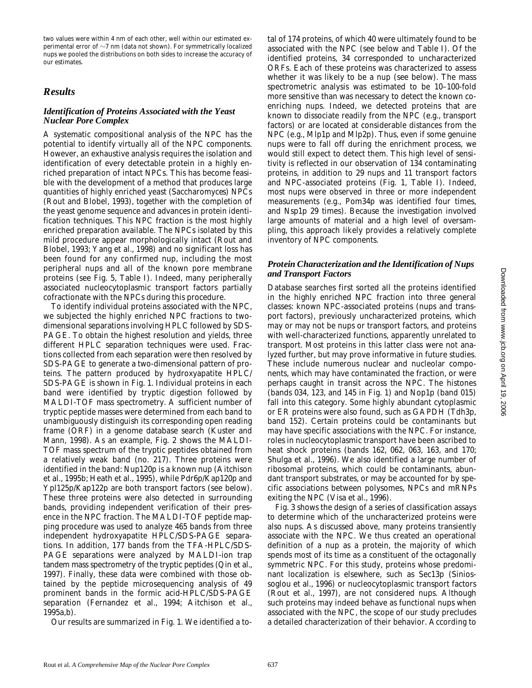two values were within 4 nm of each other, well within our estimated experimental error of  $\sim$ 7 nm (data not shown). For symmetrically localized nups we pooled the distributions on both sides to increase the accuracy of our estimates.

## *Results*

## *Identification of Proteins Associated with the Yeast Nuclear Pore Complex*

A systematic compositional analysis of the NPC has the potential to identify virtually all of the NPC components. However, an exhaustive analysis requires the isolation and identification of every detectable protein in a highly enriched preparation of intact NPCs. This has become feasible with the development of a method that produces large quantities of highly enriched yeast (*Saccharomyces*) NPCs (Rout and Blobel, 1993), together with the completion of the yeast genome sequence and advances in protein identification techniques. This NPC fraction is the most highly enriched preparation available. The NPCs isolated by this mild procedure appear morphologically intact (Rout and Blobel, 1993; Yang et al., 1998) and no significant loss has been found for any confirmed nup, including the most peripheral nups and all of the known pore membrane proteins (see Fig. 5, Table I). Indeed, many peripherally associated nucleocytoplasmic transport factors partially cofractionate with the NPCs during this procedure.

To identify individual proteins associated with the NPC, we subjected the highly enriched NPC fractions to twodimensional separations involving HPLC followed by SDS-PAGE. To obtain the highest resolution and yields, three different HPLC separation techniques were used. Fractions collected from each separation were then resolved by SDS-PAGE to generate a two-dimensional pattern of proteins. The pattern produced by hydroxyapatite HPLC/ SDS-PAGE is shown in Fig. 1. Individual proteins in each band were identified by tryptic digestion followed by MALDI-TOF mass spectrometry. A sufficient number of tryptic peptide masses were determined from each band to unambiguously distinguish its corresponding open reading frame (ORF) in a genome database search (Kuster and Mann, 1998). As an example, Fig. 2 shows the MALDI-TOF mass spectrum of the tryptic peptides obtained from a relatively weak band (no. 217). Three proteins were identified in the band: Nup120p is a known nup (Aitchison et al., 1995b; Heath et al., 1995), while Pdr6p/Kap120p and Ypl125p/Kap122p are both transport factors (see below). These three proteins were also detected in surrounding bands, providing independent verification of their presence in the NPC fraction. The MALDI-TOF peptide mapping procedure was used to analyze 465 bands from three independent hydroxyapatite HPLC/SDS-PAGE separations. In addition, 177 bands from the TFA-HPLC/SDS-PAGE separations were analyzed by MALDI-ion trap tandem mass spectrometry of the tryptic peptides (Qin et al., 1997). Finally, these data were combined with those obtained by the peptide microsequencing analysis of 49 prominent bands in the formic acid-HPLC/SDS-PAGE separation (Fernandez et al., 1994; Aitchison et al., 1995a,b).

Our results are summarized in Fig. 1. We identified a to-

tal of 174 proteins, of which 40 were ultimately found to be associated with the NPC (see below and Table I). Of the identified proteins, 34 corresponded to uncharacterized ORFs. Each of these proteins was characterized to assess whether it was likely to be a nup (see below). The mass spectrometric analysis was estimated to be 10–100-fold more sensitive than was necessary to detect the known coenriching nups. Indeed, we detected proteins that are known to dissociate readily from the NPC (e.g., transport factors) or are located at considerable distances from the NPC (e.g., Mlp1p and Mlp2p). Thus, even if some genuine nups were to fall off during the enrichment process, we would still expect to detect them. This high level of sensitivity is reflected in our observation of 134 contaminating proteins, in addition to 29 nups and 11 transport factors and NPC-associated proteins (Fig. 1, Table I). Indeed, most nups were observed in three or more independent measurements (e.g., Pom34p was identified four times, and Nsp1p 29 times). Because the investigation involved large amounts of material and a high level of oversampling, this approach likely provides a relatively complete inventory of NPC components.

## *Protein Characterization and the Identification of Nups and Transport Factors*

Database searches first sorted all the proteins identified in the highly enriched NPC fraction into three general classes: known NPC-associated proteins (nups and transport factors), previously uncharacterized proteins, which may or may not be nups or transport factors, and proteins with well-characterized functions, apparently unrelated to transport. Most proteins in this latter class were not analyzed further, but may prove informative in future studies. These include numerous nuclear and nucleolar components, which may have contaminated the fraction, or were perhaps caught in transit across the NPC. The histones (bands 034, 123, and 145 in Fig. 1) and Nop1p (band 015) fall into this category. Some highly abundant cytoplasmic or ER proteins were also found, such as GAPDH (Tdh3p, band 152). Certain proteins could be contaminants but may have specific associations with the NPC. For instance, roles in nucleocytoplasmic transport have been ascribed to heat shock proteins (bands 162, 062, 063, 163, and 170; Shulga et al., 1996). We also identified a large number of ribosomal proteins, which could be contaminants, abundant transport substrates, or may be accounted for by specific associations between polysomes, NPCs and mRNPs exiting the NPC (Visa et al., 1996).

Fig. 3 shows the design of a series of classification assays to determine which of the uncharacterized proteins were also nups. As discussed above, many proteins transiently associate with the NPC. We thus created an operational definition of a nup as a protein, the majority of which spends most of its time as a constituent of the octagonally symmetric NPC. For this study, proteins whose predominant localization is elsewhere, such as Sec13p (Siniossoglou et al., 1996) or nucleocytoplasmic transport factors (Rout et al., 1997), are not considered nups. Although such proteins may indeed behave as functional nups when associated with the NPC, the scope of our study precludes a detailed characterization of their behavior. According to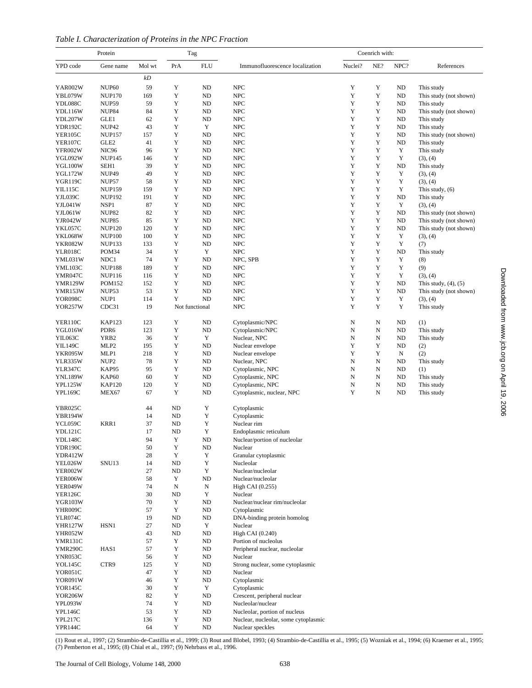*Table I. Characterization of Proteins in the NPC Fraction*

| Protein                   |                          | Tag       |          | Coenrich with:  |                                                   |         |        |           |                                      |
|---------------------------|--------------------------|-----------|----------|-----------------|---------------------------------------------------|---------|--------|-----------|--------------------------------------|
| YPD code                  | Gene name                | Mol wt    | PrA      | <b>FLU</b>      | Immunofluorescence localization                   | Nuclei? | NE?    | NPC?      | References                           |
|                           |                          | kD        |          |                 |                                                   |         |        |           |                                      |
| YAR002W                   | NUP <sub>60</sub>        | 59        | Y        | ND              | <b>NPC</b>                                        | Y       | Y      | ND        | This study                           |
| YBL079W                   | <b>NUP170</b>            | 169       | Y        | ND              | <b>NPC</b>                                        | Y       | Y      | ND        | This study (not shown)               |
| YDL088C                   | <b>NUP59</b>             | 59        | Y        | ND              | <b>NPC</b>                                        | Y       | Y      | ND        | This study                           |
| YDL116W<br>YDL207W        | <b>NUP84</b><br>GLE1     | 84<br>62  | Y<br>Y   | ND<br><b>ND</b> | <b>NPC</b><br><b>NPC</b>                          | Y<br>Y  | Y<br>Y | ND<br>ND  | This study (not shown)<br>This study |
| <b>YDR192C</b>            | NUP <sub>42</sub>        | 43        | Y        | Y               | <b>NPC</b>                                        | Y       | Y      | ND        | This study                           |
| <b>YER105C</b>            | <b>NUP157</b>            | 157       | Y        | ND              | <b>NPC</b>                                        | Y       | Y      | ND        | This study (not shown)               |
| <b>YER107C</b>            | GLE <sub>2</sub>         | 41        | Y        | ND              | <b>NPC</b>                                        | Y       | Y      | ND        | This study                           |
| YFR002W                   | NIC <sub>96</sub>        | 96        | Y        | ND              | <b>NPC</b>                                        | Y       | Y      | Y         | This study                           |
| YGL092W                   | <b>NUP145</b>            | 146       | Y        | ND              | <b>NPC</b>                                        | Y       | Y      | Y         | (3), (4)                             |
| YGL100W                   | SEH1                     | 39        | Y        | ND              | <b>NPC</b>                                        | Y       | Y      | <b>ND</b> | This study                           |
| <b>YGL172W</b>            | NUP <sub>49</sub>        | 49        | Y        | ND              | <b>NPC</b>                                        | Y       | Y      | Y         | (3), (4)                             |
| <b>YGR119C</b><br>YIL115C | NUP57<br><b>NUP159</b>   | 58<br>159 | Y<br>Y   | ND<br>ND        | <b>NPC</b><br><b>NPC</b>                          | Y<br>Y  | Y<br>Y | Y<br>Y    | (3), (4)                             |
| YJL039C                   | <b>NUP192</b>            | 191       | Y        | ND              | <b>NPC</b>                                        | Y       | Y      | ND        | This study, $(6)$<br>This study      |
| YJL041W                   | NSP1                     | 87        | Y        | ND              | <b>NPC</b>                                        | Y       | Y      | Y         | (3), (4)                             |
| YJL061W                   | <b>NUP82</b>             | 82        | Y        | ND              | <b>NPC</b>                                        | Y       | Y      | ND        | This study (not shown)               |
| <b>YJR042W</b>            | <b>NUP85</b>             | 85        | Y        | ND              | <b>NPC</b>                                        | Y       | Y      | ND        | This study (not shown)               |
| YKL057C                   | <b>NUP120</b>            | 120       | Y        | ND              | <b>NPC</b>                                        | Y       | Y      | ND        | This study (not shown)               |
| YKL068W                   | <b>NUP100</b>            | 100       | Y        | ND              | <b>NPC</b>                                        | Y       | Y      | Y         | (3), (4)                             |
| YKR082W                   | <b>NUP133</b>            | 133       | Y        | <b>ND</b>       | <b>NPC</b>                                        | Y       | Y      | Y         | (7)                                  |
| YLR018C                   | POM34                    | 34        | Y        | Y               | <b>NPC</b>                                        | Y       | Y      | <b>ND</b> | This study                           |
| YML031W<br>YML103C        | NDC1<br><b>NUP188</b>    | 74<br>189 | Y<br>Y   | ND<br>ND        | NPC, SPB<br><b>NPC</b>                            | Y<br>Y  | Y<br>Y | Y<br>Y    | (8)<br>(9)                           |
| YMR047C                   | <b>NUP116</b>            | 116       | Y        | ND              | <b>NPC</b>                                        | Y       | Y      | Y         | (3), (4)                             |
| <b>YMR129W</b>            | POM152                   | 152       | Y        | ND              | <b>NPC</b>                                        | Y       | Y      | ND        | This study, $(4)$ , $(5)$            |
| YMR153W                   | NUP53                    | 53        | Y        | <b>ND</b>       | <b>NPC</b>                                        | Y       | Y      | ND        | This study (not shown)               |
| <b>YOR098C</b>            | NUP1                     | 114       | Y        | <b>ND</b>       | <b>NPC</b>                                        | Y       | Y      | Y         | (3), (4)                             |
| <b>YOR257W</b>            | CDC31                    | 19        |          | Not functional  | <b>NPC</b>                                        | Y       | Y      | Y         | This study                           |
| YER110C                   | <b>KAP123</b>            | 123       | Y        | ND              | Cytoplasmic/NPC                                   | N       | N      | ND        | (1)                                  |
| YGL016W                   | PDR <sub>6</sub>         | 123       | Y        | ND              | Cytoplasmic/NPC                                   | N       | N      | ND        | This study                           |
| YIL063C                   | YRB <sub>2</sub>         | 36        | Y        | Y               | Nuclear, NPC                                      | N       | N      | ND        | This study                           |
| YIL149C                   | MLP <sub>2</sub>         | 195       | Y        | ND              | Nuclear envelope                                  | Y       | Y      | ND        | (2)                                  |
| YKR095W<br>YLR335W        | MLP1<br>NUP <sub>2</sub> | 218<br>78 | Y<br>Y   | ND<br>ND        | Nuclear envelope<br>Nuclear, NPC                  | Y<br>N  | Y<br>N | N<br>ND   | (2)<br>This study                    |
| YLR347C                   | KAP95                    | 95        | Y        | ND              | Cytoplasmic, NPC                                  | N       | N      | ND        | (1)                                  |
| <b>YNL189W</b>            | <b>KAP60</b>             | 60        | Y        | ND              | Cytoplasmic, NPC                                  | N       | N      | ND        | This study                           |
| YPL125W                   | <b>KAP120</b>            | 120       | Y        | ND              | Cytoplasmic, NPC                                  | N       | N      | ND        | This study                           |
| YPL169C                   | MEX67                    | 67        | Y        | ND              | Cytoplasmic, nuclear, NPC                         | Y       | N      | ND        | This study                           |
| YBR025C                   |                          | 44        | ND       | Y               | Cytoplasmic                                       |         |        |           |                                      |
| <b>YBR194W</b>            |                          | 14        | ND       | Y               | Cytoplasmic                                       |         |        |           |                                      |
| YCL059C                   | KRR1                     | 37        | ND       | Y               | Nuclear rim                                       |         |        |           |                                      |
| <b>YDL121C</b>            |                          | 17        | ND       | Y               | Endoplasmic reticulum                             |         |        |           |                                      |
| YDL148C<br><b>YDR190C</b> |                          | 94        | Y        | ND              | Nuclear/portion of nucleolar                      |         |        |           |                                      |
| YDR412W                   |                          | 50<br>28  | Y<br>Y   | ND<br>Y         | Nuclear<br>Granular cytoplasmic                   |         |        |           |                                      |
| YEL026W                   | SNU13                    | 14        | ND       | Y               | Nucleolar                                         |         |        |           |                                      |
| YER002W                   |                          | 27        | ND       | Y               | Nuclear/nucleolar                                 |         |        |           |                                      |
| YER006W                   |                          | 58        | Y        | ND              | Nuclear/nucleolar                                 |         |        |           |                                      |
| YER049W                   |                          | 74        | N        | N               | High CAI (0.255)                                  |         |        |           |                                      |
| <b>YER126C</b>            |                          | 30        | ND       | Y               | Nuclear                                           |         |        |           |                                      |
| <b>YGR103W</b>            |                          | 70        | Y        | ND              | Nuclear/nuclear rim/nucleolar                     |         |        |           |                                      |
| YHR009C                   |                          | 57        | Y        | ND              | Cytoplasmic                                       |         |        |           |                                      |
| YLR074C<br><b>YHR127W</b> | HSN1                     | 19<br>27  | ND<br>ND | ND<br>Y         | DNA-binding protein homolog<br>Nuclear            |         |        |           |                                      |
| YHR052W                   |                          | 43        | ND       | ND              | High CAI (0.240)                                  |         |        |           |                                      |
| YMR131C                   |                          | 57        | Y        | ND              | Portion of nucleolus                              |         |        |           |                                      |
| <b>YMR290C</b>            | HAS1                     | 57        | Y        | ND              | Peripheral nuclear, nucleolar                     |         |        |           |                                      |
| YNR053C                   |                          | 56        | Y        | ND              | Nuclear                                           |         |        |           |                                      |
| <b>YOL145C</b>            | CTR9                     | 125       | Y        | ND              | Strong nuclear, some cytoplasmic                  |         |        |           |                                      |
| YOR051C                   |                          | 47        | Y        | ND              | Nuclear                                           |         |        |           |                                      |
| <b>YOR091W</b>            |                          | 46        | Y        | ND              | Cytoplasmic                                       |         |        |           |                                      |
| <b>YOR145C</b>            |                          | 30        | Y        | Y               | Cytoplasmic                                       |         |        |           |                                      |
| <b>YOR206W</b><br>YPL093W |                          | 82<br>74  | Y<br>Y   | ND<br>ND        | Crescent, peripheral nuclear<br>Nucleolar/nuclear |         |        |           |                                      |
| YPL146C                   |                          | 53        | Y        | ND              | Nucleolar, portion of nucleus                     |         |        |           |                                      |
| YPL217C                   |                          | 136       | Y        | ND              | Nuclear, nucleolar, some cytoplasmic              |         |        |           |                                      |
| <b>YPR144C</b>            |                          | 64        | Y        | ND              | Nuclear speckles                                  |         |        |           |                                      |

Downloaded from www.jcb.org on April 19, 2006 Downloadedfrom [www.jcb.org](http://www.jcb.org) on April 19, 2006

(1) Rout et al., 1997; (2) Strambio-de-Castillia et al., 1999; (3) Rout and Blobel, 1993; (4) Strambio-de-Castillia et al., 1995; (5) Wozniak et al., 1994; (6) Kraemer et al., 1995;<br>(7) Pemberton et al., 1995; (8) Chial et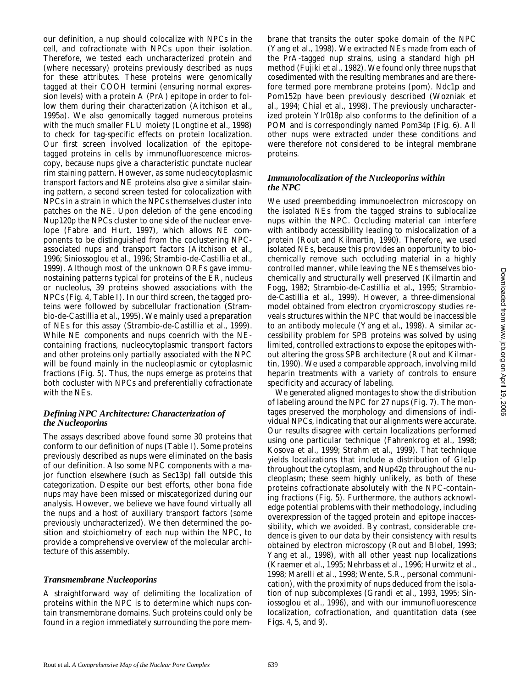our definition, a nup should colocalize with NPCs in the cell, and cofractionate with NPCs upon their isolation. Therefore, we tested each uncharacterized protein and (where necessary) proteins previously described as nups for these attributes. These proteins were genomically tagged at their COOH termini (ensuring normal expression levels) with a protein A (PrA) epitope in order to follow them during their characterization (Aitchison et al., 1995a). We also genomically tagged numerous proteins with the much smaller FLU moiety (Longtine et al., 1998) to check for tag-specific effects on protein localization. Our first screen involved localization of the epitopetagged proteins in cells by immunofluorescence microscopy, because nups give a characteristic punctate nuclear rim staining pattern. However, as some nucleocytoplasmic transport factors and NE proteins also give a similar staining pattern, a second screen tested for colocalization with NPCs in a strain in which the NPCs themselves cluster into patches on the NE. Upon deletion of the gene encoding Nup120p the NPCs cluster to one side of the nuclear envelope (Fabre and Hurt, 1997), which allows NE components to be distinguished from the coclustering NPCassociated nups and transport factors (Aitchison et al., 1996; Siniossoglou et al., 1996; Strambio-de-Castillia et al., 1999). Although most of the unknown ORFs gave immunostaining patterns typical for proteins of the ER, nucleus or nucleolus, 39 proteins showed associations with the NPCs (Fig. 4, Table I). In our third screen, the tagged proteins were followed by subcellular fractionation (Strambio-de-Castillia et al., 1995). We mainly used a preparation of NEs for this assay (Strambio-de-Castillia et al., 1999). While NE components and nups coenrich with the NEcontaining fractions, nucleocytoplasmic transport factors and other proteins only partially associated with the NPC will be found mainly in the nucleoplasmic or cytoplasmic fractions (Fig. 5). Thus, the nups emerge as proteins that both cocluster with NPCs and preferentially cofractionate with the NEs.

## *Defining NPC Architecture: Characterization of the Nucleoporins*

The assays described above found some 30 proteins that conform to our definition of nups (Table I). Some proteins previously described as nups were eliminated on the basis of our definition. Also some NPC components with a major function elsewhere (such as Sec13p) fall outside this categorization. Despite our best efforts, other bona fide nups may have been missed or miscategorized during our analysis. However, we believe we have found virtually all the nups and a host of auxiliary transport factors (some previously uncharacterized). We then determined the position and stoichiometry of each nup within the NPC, to provide a comprehensive overview of the molecular architecture of this assembly.

## *Transmembrane Nucleoporins*

A straightforward way of delimiting the localization of proteins within the NPC is to determine which nups contain transmembrane domains. Such proteins could only be found in a region immediately surrounding the pore mem-

brane that transits the outer spoke domain of the NPC (Yang et al., 1998). We extracted NEs made from each of the PrA-tagged nup strains, using a standard high pH method (Fujiki et al., 1982). We found only three nups that cosedimented with the resulting membranes and are therefore termed pore membrane proteins (pom). Ndc1p and Pom152p have been previously described (Wozniak et al., 1994; Chial et al., 1998). The previously uncharacterized protein Ylr018p also conforms to the definition of a POM and is correspondingly named Pom34p (Fig. 6). All other nups were extracted under these conditions and were therefore not considered to be integral membrane proteins.

### *Immunolocalization of the Nucleoporins within the NPC*

We used preembedding immunoelectron microscopy on the isolated NEs from the tagged strains to sublocalize nups within the NPC. Occluding material can interfere with antibody accessibility leading to mislocalization of a protein (Rout and Kilmartin, 1990). Therefore, we used isolated NEs, because this provides an opportunity to biochemically remove such occluding material in a highly controlled manner, while leaving the NEs themselves biochemically and structurally well preserved (Kilmartin and Fogg, 1982; Strambio-de-Castillia et al., 1995; Strambiode-Castillia et al., 1999). However, a three-dimensional model obtained from electron cryomicroscopy studies reveals structures within the NPC that would be inaccessible to an antibody molecule (Yang et al., 1998). A similar accessibility problem for SPB proteins was solved by using limited, controlled extractions to expose the epitopes without altering the gross SPB architecture (Rout and Kilmartin, 1990). We used a comparable approach, involving mild heparin treatments with a variety of controls to ensure specificity and accuracy of labeling.

We generated aligned montages to show the distribution of labeling around the NPC for 27 nups (Fig. 7). The montages preserved the morphology and dimensions of individual NPCs, indicating that our alignments were accurate. Our results disagree with certain localizations performed using one particular technique (Fahrenkrog et al., 1998; Kosova et al., 1999; Strahm et al., 1999). That technique yields localizations that include a distribution of Gle1p throughout the cytoplasm, and Nup42p throughout the nucleoplasm; these seem highly unlikely, as both of these proteins cofractionate absolutely with the NPC-containing fractions (Fig. 5). Furthermore, the authors acknowledge potential problems with their methodology, including overexpression of the tagged protein and epitope inaccessibility, which we avoided. By contrast, considerable credence is given to our data by their consistency with results obtained by electron microscopy (Rout and Blobel, 1993; Yang et al., 1998), with all other yeast nup localizations (Kraemer et al., 1995; Nehrbass et al., 1996; Hurwitz et al., 1998; Marelli et al., 1998; Wente, S.R., personal communication), with the proximity of nups deduced from the isolation of nup subcomplexes (Grandi et al., 1993, 1995; Siniossoglou et al., 1996), and with our immunofluorescence localization, cofractionation, and quantitation data (see Figs. 4, 5, and 9).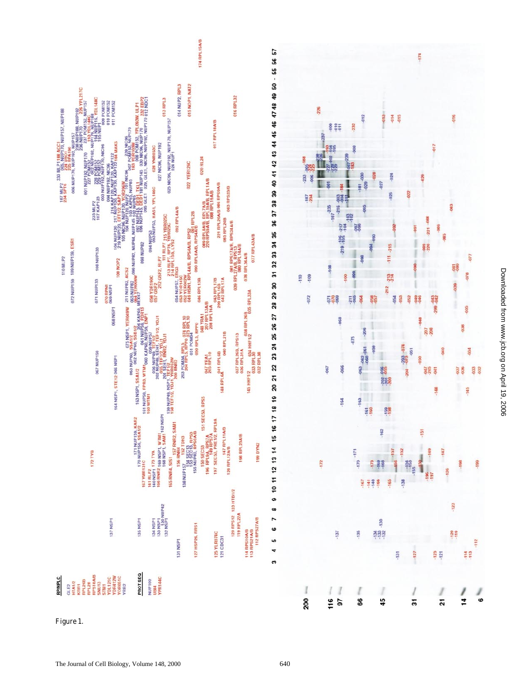

Downloadedfrom [www.jcb.org](http://www.jcb.org) on April 19, 2006

Downloaded from www.jcb.org on April 19, 2006

*Figure 1.*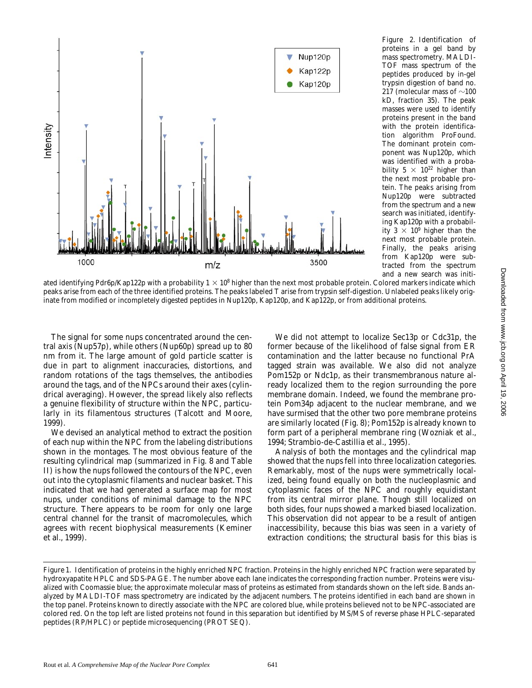

*Figure 2.* Identification of proteins in a gel band by mass spectrometry. MALDI-TOF mass spectrum of the peptides produced by in-gel trypsin digestion of band no. 217 (molecular mass of  $\sim$ 100 kD, fraction 35). The peak masses were used to identify proteins present in the band with the protein identification algorithm ProFound. The dominant protein component was Nup120p, which was identified with a probability  $5 \times 10^{22}$  higher than the next most probable protein. The peaks arising from Nup120p were subtracted from the spectrum and a new search was initiated, identifying Kap120p with a probability 3  $\times$  10<sup>9</sup> higher than the next most probable protein. Finally, the peaks arising from Kap120p were subtracted from the spectrum and a new search was initi-

ated identifying Pdr6p/Kap122p with a probability 1  $\times$  10 $^8$  higher than the next most probable protein. Colored markers indicate which peaks arise from each of the three identified proteins. The peaks labeled T arise from trypsin self-digestion. Unlabeled peaks likely originate from modified or incompletely digested peptides in Nup120p, Kap120p, and Kap122p, or from additional proteins.

The signal for some nups concentrated around the central axis (Nup57p), while others (Nup60p) spread up to 80 nm from it. The large amount of gold particle scatter is due in part to alignment inaccuracies, distortions, and random rotations of the tags themselves, the antibodies around the tags, and of the NPCs around their axes (cylindrical averaging). However, the spread likely also reflects a genuine flexibility of structure within the NPC, particularly in its filamentous structures (Talcott and Moore, 1999).

We devised an analytical method to extract the position of each nup within the NPC from the labeling distributions shown in the montages. The most obvious feature of the resulting cylindrical map (summarized in Fig. 8 and Table II) is how the nups followed the contours of the NPC, even out into the cytoplasmic filaments and nuclear basket. This indicated that we had generated a surface map for most nups, under conditions of minimal damage to the NPC structure. There appears to be room for only one large central channel for the transit of macromolecules, which agrees with recent biophysical measurements (Keminer et al., 1999).

We did not attempt to localize Sec13p or Cdc31p, the former because of the likelihood of false signal from ER contamination and the latter because no functional PrA tagged strain was available. We also did not analyze Pom152p or Ndc1p, as their transmembranous nature already localized them to the region surrounding the pore membrane domain. Indeed, we found the membrane protein Pom34p adjacent to the nuclear membrane, and we have surmised that the other two pore membrane proteins are similarly located (Fig. 8); Pom152p is already known to form part of a peripheral membrane ring (Wozniak et al., 1994; Strambio-de-Castillia et al., 1995).

Analysis of both the montages and the cylindrical map showed that the nups fell into three localization categories. Remarkably, most of the nups were symmetrically localized, being found equally on both the nucleoplasmic and cytoplasmic faces of the NPC and roughly equidistant from its central mirror plane. Though still localized on both sides, four nups showed a marked biased localization. This observation did not appear to be a result of antigen inaccessibility, because this bias was seen in a variety of extraction conditions; the structural basis for this bias is

*Figure 1.* Identification of proteins in the highly enriched NPC fraction. Proteins in the highly enriched NPC fraction were separated by hydroxyapatite HPLC and SDS-PAGE. The number above each lane indicates the corresponding fraction number. Proteins were visualized with Coomassie blue; the approximate molecular mass of proteins as estimated from standards shown on the left side. Bands analyzed by MALDI-TOF mass spectrometry are indicated by the adjacent numbers. The proteins identified in each band are shown in the top panel. Proteins known to directly associate with the NPC are colored blue, while proteins believed not to be NPC-associated are colored red. On the top left are listed proteins not found in this separation but identified by MS/MS of reverse phase HPLC-separated peptides (RP/HPLC) or peptide microsequencing (PROT SEQ).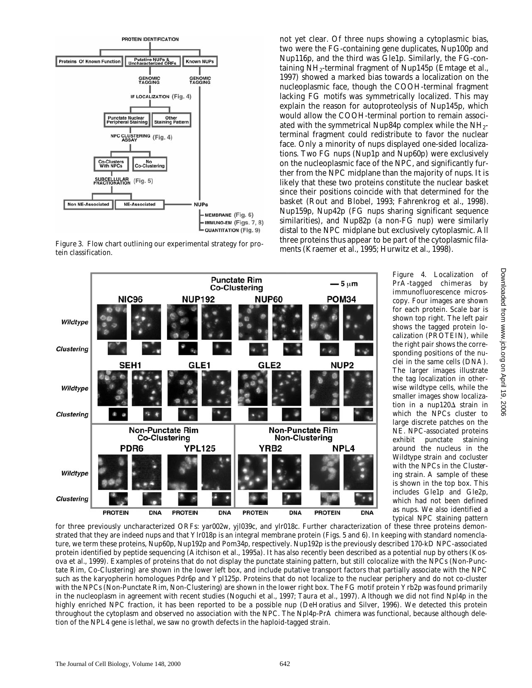

ments (Kraemer et al., 1995; Hurwitz et al., 1998). *Figure 3.* Flow chart outlining our experimental strategy for protein classification.

not yet clear. Of three nups showing a cytoplasmic bias, two were the FG-containing gene duplicates, Nup100p and Nup116p, and the third was Gle1p. Similarly, the FG-containing NH<sub>2</sub>-terminal fragment of Nup145p (Emtage et al., 1997) showed a marked bias towards a localization on the nucleoplasmic face, though the COOH-terminal fragment lacking FG motifs was symmetrically localized. This may explain the reason for autoproteolysis of Nup145p, which would allow the COOH-terminal portion to remain associated with the symmetrical Nup84p complex while the  $NH_{2}$ terminal fragment could redistribute to favor the nuclear face. Only a minority of nups displayed one-sided localizations. Two FG nups (Nup1p and Nup60p) were exclusively on the nucleoplasmic face of the NPC, and significantly further from the NPC midplane than the majority of nups. It is likely that these two proteins constitute the nuclear basket since their positions coincide with that determined for the basket (Rout and Blobel, 1993; Fahrenkrog et al., 1998). Nup159p, Nup42p (FG nups sharing significant sequence similarities), and Nup82p (a non-FG nup) were similarly distal to the NPC midplane but exclusively cytoplasmic. All three proteins thus appear to be part of the cytoplasmic fila-



*Figure 4.* Localization of PrA-tagged chimeras by immunofluorescence microscopy. Four images are shown for each protein. Scale bar is shown top right. The left pair shows the tagged protein localization (PROTEIN), while the right pair shows the corresponding positions of the nuclei in the same cells (DNA). The larger images illustrate the tag localization in otherwise wildtype cells, while the smaller images show localization in a nup120 $\Delta$  strain in which the NPCs cluster to large discrete patches on the NE. NPC-associated proteins exhibit punctate staining around the nucleus in the *Wildtype* strain and cocluster with the NPCs in the *Clustering* strain. A sample of these is shown in the top box. This includes Gle1p and Gle2p, which had not been defined as nups. We also identified a typical NPC staining pattern

for three previously uncharacterized ORFs: yar002w, yjl039c, and ylr018c. Further characterization of these three proteins demonstrated that they are indeed nups and that Ylr018p is an integral membrane protein (Figs. 5 and 6). In keeping with standard nomenclature, we term these proteins, Nup60p, Nup192p and Pom34p, respectively. Nup192p is the previously described 170-kD NPC-associated protein identified by peptide sequencing (Aitchison et al., 1995a). It has also recently been described as a potential nup by others (Kosova et al., 1999). Examples of proteins that do not display the punctate staining pattern, but still colocalize with the NPCs (Non-Punctate Rim, Co-Clustering) are shown in the lower left box, and include putative transport factors that partially associate with the NPC such as the karyopherin homologues Pdr6p and Ypl125p. Proteins that do not localize to the nuclear periphery and do not co-cluster with the NPCs (Non-Punctate Rim, Non-Clustering) are shown in the lower right box. The FG motif protein Yrb2p was found primarily in the nucleoplasm in agreement with recent studies (Noguchi et al., 1997; Taura et al., 1997). Although we did not find Npl4p in the highly enriched NPC fraction, it has been reported to be a possible nup (DeHoratius and Silver, 1996). We detected this protein throughout the cytoplasm and observed no association with the NPC. The Npl4p-PrA chimera was functional, because although deletion of the NPL4 gene is lethal, we saw no growth defects in the haploid-tagged strain.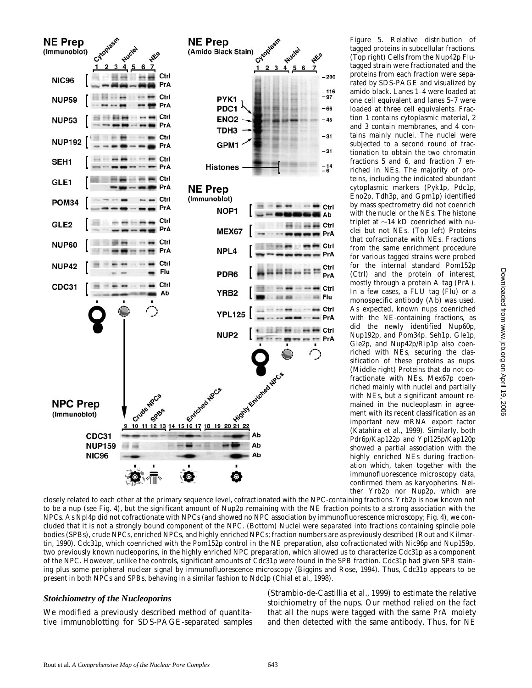

*Figure 5.* Relative distribution of tagged proteins in subcellular fractions. (Top right) Cells from the Nup42p Flutagged strain were fractionated and the proteins from each fraction were separated by SDS-PAGE and visualized by amido black. Lanes 1–4 were loaded at one cell equivalent and lanes 5–7 were loaded at three cell equivalents. Fraction 1 contains cytoplasmic material, 2 and 3 contain membranes, and 4 contains mainly nuclei. The nuclei were subjected to a second round of fractionation to obtain the two chromatin fractions 5 and 6, and fraction 7 enriched in NEs. The majority of proteins, including the indicated abundant cytoplasmic markers (Pyk1p, Pdc1p, Eno2p, Tdh3p, and Gpm1p) identified by mass spectrometry did not coenrich with the nuclei or the NEs. The histone triplet at  $\sim$ 14 kD coenriched with nuclei but not NEs. (Top left) Proteins that cofractionate with NEs. Fractions from the same enrichment procedure for various tagged strains were probed for the internal standard Pom152p (Ctrl) and the protein of interest, mostly through a protein A tag (PrA). In a few cases, a FLU tag (Flu) or a monospecific antibody (Ab) was used. As expected, known nups coenriched with the NE-containing fractions, as did the newly identified Nup60p, Nup192p, and Pom34p. Seh1p, Gle1p, Gle2p, and Nup42p/Rip1p also coenriched with NEs, securing the classification of these proteins as nups. (Middle right) Proteins that do not cofractionate with NEs. Mex67p coenriched mainly with nuclei and partially with NEs, but a significant amount remained in the nucleoplasm in agreement with its recent classification as an important new mRNA export factor (Katahira et al., 1999). Similarly, both Pdr6p/Kap122p and Ypl125p/Kap120p showed a partial association with the highly enriched NEs during fractionation which, taken together with the immunofluorescence microscopy data, confirmed them as karyopherins. Neither Yrb2p nor Nup2p, which are

closely related to each other at the primary sequence level, cofractionated with the NPC-containing fractions. Yrb2p is now known not to be a nup (see Fig. 4), but the significant amount of Nup2p remaining with the NE fraction points to a strong association with the NPCs. As Npl4p did not cofractionate with NPCs (and showed no NPC association by immunofluorescence microscopy; Fig. 4), we concluded that it is not a strongly bound component of the NPC. (Bottom) Nuclei were separated into fractions containing spindle pole bodies (SPBs), crude NPCs, enriched NPCs, and highly enriched NPCs; fraction numbers are as previously described (Rout and Kilmartin, 1990). Cdc31p, which coenriched with the Pom152p control in the NE preparation, also cofractionated with Nic96p and Nup159p, two previously known nucleoporins, in the highly enriched NPC preparation, which allowed us to characterize Cdc31p as a component of the NPC. However, unlike the controls, significant amounts of Cdc31p were found in the SPB fraction. Cdc31p had given SPB staining plus some peripheral nuclear signal by immunofluorescence microscopy (Biggins and Rose, 1994). Thus, Cdc31p appears to be present in both NPCs and SPBs, behaving in a similar fashion to Ndc1p (Chial et al., 1998).

### *Stoichiometry of the Nucleoporins*

We modified a previously described method of quantitative immunoblotting for SDS-PAGE-separated samples

(Strambio-de-Castillia et al., 1999) to estimate the relative stoichiometry of the nups. Our method relied on the fact that all the nups were tagged with the same PrA moiety and then detected with the same antibody. Thus, for NE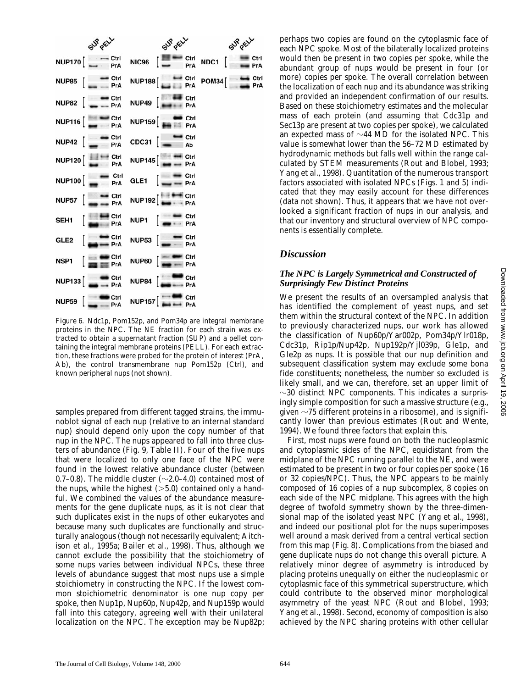| SUP pELL                                                                                                                                                                                                                                                                                                                                                                                                                                                                             | SUP OFLY                                                                                                                                                                                                                                                                                                                                                                                                                                                  | SUP OFLY                    |
|--------------------------------------------------------------------------------------------------------------------------------------------------------------------------------------------------------------------------------------------------------------------------------------------------------------------------------------------------------------------------------------------------------------------------------------------------------------------------------------|-----------------------------------------------------------------------------------------------------------------------------------------------------------------------------------------------------------------------------------------------------------------------------------------------------------------------------------------------------------------------------------------------------------------------------------------------------------|-----------------------------|
| $NUP170$ $\begin{array}{cc} \begin{array}{cc} \end{array}$ $\begin{array}{cc} \end{array}$ $\begin{array}{cc} \end{array}$ $\begin{array}{cc} \end{array}$ $\begin{array}{cc} \end{array}$ $\begin{array}{cc} \end{array}$ $\begin{array}{cc} \end{array}$ $\begin{array}{cc} \end{array}$ $\begin{array}{cc} \end{array}$ $\begin{array}{cc} \end{array}$ $\begin{array}{cc} \end{array}$ $\begin{array}{cc} \end{array}$ $\begin{array}{cc} \end{array}$ $\begin{array}{cc} \end{$ | $NIC96$ $\begin{bmatrix} \phantom{1} & \phantom{1} & \phantom{1} & \phantom{1} & \phantom{1} & \phantom{1} & \phantom{1} & \phantom{1} & \phantom{1} & \phantom{1} & \phantom{1} & \phantom{1} & \phantom{1} & \phantom{1} & \phantom{1} & \phantom{1} & \phantom{1} & \phantom{1} & \phantom{1} & \phantom{1} & \phantom{1} & \phantom{1} & \phantom{1} & \phantom{1} & \phantom{1} & \phantom{1} & \phantom{1} & \phantom{1} & \phantom{1} & \phantom{$ | Ctr<br>Pr/<br>$NDC1$ $\Box$ |
| $NUP85$ $\begin{bmatrix} 1 \\ -1 \end{bmatrix}$ $\begin{bmatrix} 1 \\ P\end{bmatrix}$ $\begin{bmatrix} 1 \\ P\end{bmatrix}$                                                                                                                                                                                                                                                                                                                                                          | $NUP188$ $SUP188$ $PFA$ $POM34$ $V_{P12}$                                                                                                                                                                                                                                                                                                                                                                                                                 |                             |
| NUP82 $\begin{bmatrix} - \\ - \end{bmatrix}$ Pra                                                                                                                                                                                                                                                                                                                                                                                                                                     | NUP49   Ctrl                                                                                                                                                                                                                                                                                                                                                                                                                                              |                             |
|                                                                                                                                                                                                                                                                                                                                                                                                                                                                                      | $NUP159$ $\begin{array}{ c c }\n\hline\n\end{array}$ $PFA$                                                                                                                                                                                                                                                                                                                                                                                                |                             |
| NUP42 $\left[\begin{array}{cc} \text{Ctr} \\ \text{Pra} \end{array}\right]$                                                                                                                                                                                                                                                                                                                                                                                                          | $\text{CDC31}$ $\left[\begin{array}{c} \text{Ctr1} \\ \text{Ab} \end{array}\right]$                                                                                                                                                                                                                                                                                                                                                                       |                             |
| NUP120   Ctrl                                                                                                                                                                                                                                                                                                                                                                                                                                                                        | $NUP145$ $NUP145$                                                                                                                                                                                                                                                                                                                                                                                                                                         |                             |
| $NUP100$ $\begin{bmatrix}$ $\end{bmatrix}$ $\begin{bmatrix}$ $\begin{bmatrix}$ $\end{bmatrix}$ $\begin{bmatrix}$ $\end{bmatrix}$ $\begin{bmatrix}$ $\end{bmatrix}$ $\begin{bmatrix}$ $\end{bmatrix}$ $\begin{bmatrix}$ $\end{bmatrix}$ $\begin{bmatrix}$ $\end{bmatrix}$ $\begin{bmatrix}$ $\end{bmatrix}$ $\begin{bmatrix}$ $\end{bmatrix}$ $\begin{bmatrix}$ $\end{bmatrix}$ $\begin{bmatrix}$ $\end{bmatrix}$ $\begin{bmatrix$                                                    | GLE1 $\left[\begin{array}{c} \text{Ctr} \\ \text{Ctr} \end{array}\right]$                                                                                                                                                                                                                                                                                                                                                                                 |                             |
| NUP57 $\frac{1}{2}$ $\frac{1}{2}$ $\frac{1}{2}$ $\frac{1}{2}$ $\frac{1}{2}$ $\frac{1}{2}$ $\frac{1}{2}$ $\frac{1}{2}$ $\frac{1}{2}$ $\frac{1}{2}$ $\frac{1}{2}$                                                                                                                                                                                                                                                                                                                      | $NUP192$ $\begin{bmatrix} 1 & 1 \\ 1 & 1 \end{bmatrix}$ $Ctr1$                                                                                                                                                                                                                                                                                                                                                                                            |                             |
| SEH1   Ctrl                                                                                                                                                                                                                                                                                                                                                                                                                                                                          | NUP1 $\begin{bmatrix} 1 \\ 1 \end{bmatrix}$ Pra                                                                                                                                                                                                                                                                                                                                                                                                           |                             |
| GLE2 $[$ $\frac{1}{2}$ $\frac{1}{2}$ $\frac{1}{2}$ $\frac{1}{2}$ $\frac{1}{2}$ $\frac{1}{2}$ $\frac{1}{2}$ $\frac{1}{2}$ $\frac{1}{2}$ $\frac{1}{2}$ $\frac{1}{2}$                                                                                                                                                                                                                                                                                                                   | NUP53 $\begin{bmatrix} 1 \\ 1 \end{bmatrix}$ $\begin{bmatrix} 1 \\ 1 \end{bmatrix}$ $\begin{bmatrix} 1 \\ 1 \end{bmatrix}$                                                                                                                                                                                                                                                                                                                                |                             |
| $NSP1$ $PFA$                                                                                                                                                                                                                                                                                                                                                                                                                                                                         | $NUP60$ $\begin{bmatrix} \end{bmatrix}$                                                                                                                                                                                                                                                                                                                                                                                                                   |                             |
| $NUP133$ $\begin{array}{c} \begin{array}{c} \text{Ctr1} \\ \text{Pra} \end{array} \end{array}$                                                                                                                                                                                                                                                                                                                                                                                       | $NUP84$ $\begin{bmatrix} 1 & 1 \\ 1 & 1 \end{bmatrix}$                                                                                                                                                                                                                                                                                                                                                                                                    |                             |
| NUP59   Ctrl                                                                                                                                                                                                                                                                                                                                                                                                                                                                         |                                                                                                                                                                                                                                                                                                                                                                                                                                                           |                             |

*Figure 6.* Ndc1p, Pom152p, and Pom34p are integral membrane proteins in the NPC. The NE fraction for each strain was extracted to obtain a supernatant fraction (SUP) and a pellet containing the integral membrane proteins (PELL). For each extraction, these fractions were probed for the protein of interest (PrA, Ab), the control transmembrane nup Pom152p (Ctrl), and known peripheral nups (not shown).

samples prepared from different tagged strains, the immunoblot signal of each nup (relative to an internal standard nup) should depend only upon the copy number of that nup in the NPC. The nups appeared to fall into three clusters of abundance (Fig. 9, Table II). Four of the five nups that were localized to only one face of the NPC were found in the lowest relative abundance cluster (between 0.7–0.8). The middle cluster  $(\sim 2.0-4.0)$  contained most of the nups, while the highest  $(>=5.0)$  contained only a handful. We combined the values of the abundance measurements for the gene duplicate nups, as it is not clear that such duplicates exist in the nups of other eukaryotes and because many such duplicates are functionally and structurally analogous (though not necessarily equivalent; Aitchison et al., 1995a; Bailer et al., 1998). Thus, although we cannot exclude the possibility that the stoichiometry of some nups varies between individual NPCs, these three levels of abundance suggest that most nups use a simple stoichiometry in constructing the NPC. If the lowest common stoichiometric denominator is one nup copy per spoke, then Nup1p, Nup60p, Nup42p, and Nup159p would fall into this category, agreeing well with their unilateral localization on the NPC. The exception may be Nup82p;

perhaps two copies are found on the cytoplasmic face of each NPC spoke. Most of the bilaterally localized proteins would then be present in two copies per spoke, while the abundant group of nups would be present in four (or more) copies per spoke. The overall correlation between the localization of each nup and its abundance was striking and provided an independent confirmation of our results. Based on these stoichiometry estimates and the molecular mass of each protein (and assuming that Cdc31p and Sec13p are present at two copies per spoke), we calculated an expected mass of  $\sim$ 44 MD for the isolated NPC. This value is somewhat lower than the 56–72 MD estimated by hydrodynamic methods but falls well within the range calculated by STEM measurements (Rout and Blobel, 1993; Yang et al., 1998). Quantitation of the numerous transport factors associated with isolated NPCs (Figs. 1 and 5) indicated that they may easily account for these differences (data not shown). Thus, it appears that we have not overlooked a significant fraction of nups in our analysis, and that our inventory and structural overview of NPC components is essentially complete.

## *Discussion*

### *The NPC is Largely Symmetrical and Constructed of Surprisingly Few Distinct Proteins*

We present the results of an oversampled analysis that has identified the complement of yeast nups, and set them within the structural context of the NPC. In addition to previously characterized nups, our work has allowed the classification of Nup60p/Yar002p, Pom34p/Ylr018p, Cdc31p, Rip1p/Nup42p, Nup192p/Yjl039p, Gle1p, and Gle2p as nups. It is possible that our nup definition and subsequent classification system may exclude some bona fide constituents; nonetheless, the number so excluded is likely small, and we can, therefore, set an upper limit of  $\sim$ 30 distinct NPC components. This indicates a surprisingly simple composition for such a massive structure (e.g., given  $\sim$ 75 different proteins in a ribosome), and is significantly lower than previous estimates (Rout and Wente, 1994). We found three factors that explain this.

First, most nups were found on both the nucleoplasmic and cytoplasmic sides of the NPC, equidistant from the midplane of the NPC running parallel to the NE, and were estimated to be present in two or four copies per spoke (16 or 32 copies/NPC). Thus, the NPC appears to be mainly composed of 16 copies of a nup subcomplex, 8 copies on each side of the NPC midplane. This agrees with the high degree of twofold symmetry shown by the three-dimensional map of the isolated yeast NPC (Yang et al., 1998), and indeed our positional plot for the nups superimposes well around a mask derived from a central vertical section from this map (Fig. 8). Complications from the biased and gene duplicate nups do not change this overall picture. A relatively minor degree of asymmetry is introduced by placing proteins unequally on either the nucleoplasmic or cytoplasmic face of this symmetrical superstructure, which could contribute to the observed minor morphological asymmetry of the yeast NPC (Rout and Blobel, 1993; Yang et al., 1998). Second, economy of composition is also achieved by the NPC sharing proteins with other cellular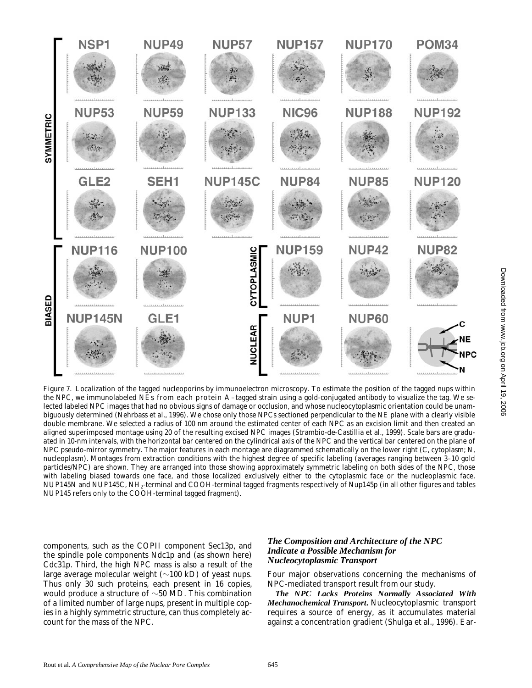

*Figure 7.* Localization of the tagged nucleoporins by immunoelectron microscopy. To estimate the position of the tagged nups within the NPC, we immunolabeled NEs from each protein A–tagged strain using a gold-conjugated antibody to visualize the tag. We selected labeled NPC images that had no obvious signs of damage or occlusion, and whose nucleocytoplasmic orientation could be unambiguously determined (Nehrbass et al., 1996). We chose only those NPCs sectioned perpendicular to the NE plane with a clearly visible double membrane. We selected a radius of 100 nm around the estimated center of each NPC as an excision limit and then created an aligned superimposed montage using 20 of the resulting excised NPC images (Strambio-de-Castillia et al., 1999). Scale bars are graduated in 10-nm intervals, with the horizontal bar centered on the cylindrical axis of the NPC and the vertical bar centered on the plane of NPC pseudo-mirror symmetry. The major features in each montage are diagrammed schematically on the lower right (C, cytoplasm; N, nucleoplasm). Montages from extraction conditions with the highest degree of specific labeling (averages ranging between 3–10 gold particles/NPC) are shown. They are arranged into those showing approximately symmetric labeling on both sides of the NPC, those with labeling biased towards one face, and those localized exclusively either to the cytoplasmic face or the nucleoplasmic face. NUP145N and NUP145C, NH2-terminal and COOH-terminal tagged fragments respectively of Nup145p (in all other figures and tables NUP145 refers only to the COOH-terminal tagged fragment).

components, such as the COPII component Sec13p, and the spindle pole components Ndc1p and (as shown here) Cdc31p. Third, the high NPC mass is also a result of the large average molecular weight  $(\sim 100$  kD) of yeast nups. Thus only 30 such proteins, each present in 16 copies, would produce a structure of  $\sim$ 50 MD. This combination of a limited number of large nups, present in multiple copies in a highly symmetric structure, can thus completely account for the mass of the NPC.

## *The Composition and Architecture of the NPC Indicate a Possible Mechanism for Nucleocytoplasmic Transport*

Four major observations concerning the mechanisms of NPC-mediated transport result from our study.

*The NPC Lacks Proteins Normally Associated With Mechanochemical Transport.* Nucleocytoplasmic transport requires a source of energy, as it accumulates material against a concentration gradient (Shulga et al., 1996). Ear-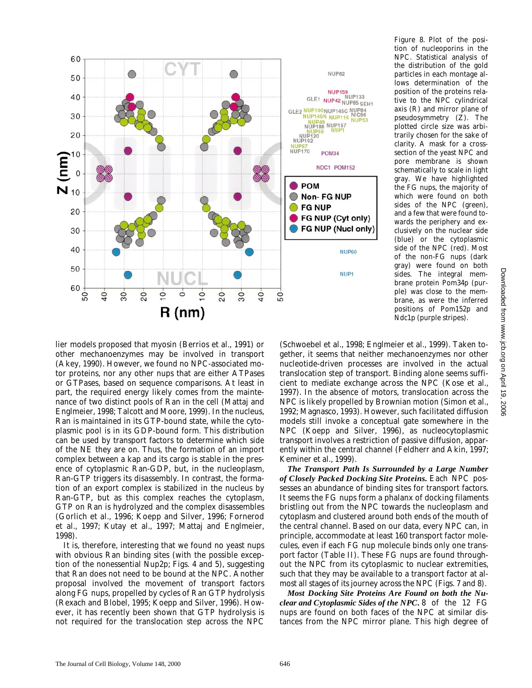

*Figure 8.* Plot of the position of nucleoporins in the NPC. Statistical analysis of the distribution of the gold particles in each montage allows determination of the position of the proteins relative to the NPC cylindrical axis (R) and mirror plane of pseudosymmetry (Z). The plotted circle size was arbitrarily chosen for the sake of clarity. A mask for a crosssection of the yeast NPC and pore membrane is shown schematically to scale in light gray. We have highlighted the FG nups, the majority of which were found on both sides of the NPC (green), and a few that were found towards the periphery and exclusively on the nuclear side (blue) or the cytoplasmic side of the NPC (red). Most of the non-FG nups (dark gray) were found on both sides. The integral membrane protein Pom34p (purple) was close to the membrane, as were the inferred positions of Pom152p and Ndc1p (purple stripes).

lier models proposed that myosin (Berrios et al., 1991) or other mechanoenzymes may be involved in transport (Akey, 1990). However, we found no NPC-associated motor proteins, nor any other nups that are either ATPases or GTPases, based on sequence comparisons. At least in part, the required energy likely comes from the maintenance of two distinct pools of Ran in the cell (Mattaj and Englmeier, 1998; Talcott and Moore, 1999). In the nucleus, Ran is maintained in its GTP-bound state, while the cytoplasmic pool is in its GDP-bound form. This distribution can be used by transport factors to determine which side of the NE they are on. Thus, the formation of an import complex between a kap and its cargo is stable in the presence of cytoplasmic Ran-GDP, but, in the nucleoplasm, Ran-GTP triggers its disassembly. In contrast, the formation of an export complex is stabilized in the nucleus by Ran-GTP, but as this complex reaches the cytoplasm, GTP on Ran is hydrolyzed and the complex disassembles (Gorlich et al., 1996; Koepp and Silver, 1996; Fornerod et al., 1997; Kutay et al., 1997; Mattaj and Englmeier, 1998).

It is, therefore, interesting that we found no yeast nups with obvious Ran binding sites (with the possible exception of the nonessential Nup2p; Figs. 4 and 5), suggesting that Ran does not need to be bound at the NPC. Another proposal involved the movement of transport factors along FG nups, propelled by cycles of Ran GTP hydrolysis (Rexach and Blobel, 1995; Koepp and Silver, 1996). However, it has recently been shown that GTP hydrolysis is not required for the translocation step across the NPC

(Schwoebel et al., 1998; Englmeier et al., 1999). Taken together, it seems that neither mechanoenzymes nor other nucleotide-driven processes are involved in the actual translocation step of transport. Binding alone seems sufficient to mediate exchange across the NPC (Kose et al., 1997). In the absence of motors, translocation across the NPC is likely propelled by Brownian motion (Simon et al., 1992; Magnasco, 1993). However, such facilitated diffusion models still invoke a conceptual gate somewhere in the NPC (Koepp and Silver, 1996), as nucleocytoplasmic transport involves a restriction of passive diffusion, apparently within the central channel (Feldherr and Akin, 1997; Keminer et al., 1999).

*The Transport Path Is Surrounded by a Large Number of Closely Packed Docking Site Proteins.* Each NPC possesses an abundance of binding sites for transport factors. It seems the FG nups form a phalanx of docking filaments bristling out from the NPC towards the nucleoplasm and cytoplasm and clustered around both ends of the mouth of the central channel. Based on our data, every NPC can, in principle, accommodate at least 160 transport factor molecules, even if each FG nup molecule binds only one transport factor (Table II). These FG nups are found throughout the NPC from its cytoplasmic to nuclear extremities, such that they may be available to a transport factor at almost all stages of its journey across the NPC (Figs. 7 and 8).

*Most Docking Site Proteins Are Found on both the Nuclear and Cytoplasmic Sides of the NPC.* 8 of the 12 FG nups are found on both faces of the NPC at similar distances from the NPC mirror plane. This high degree of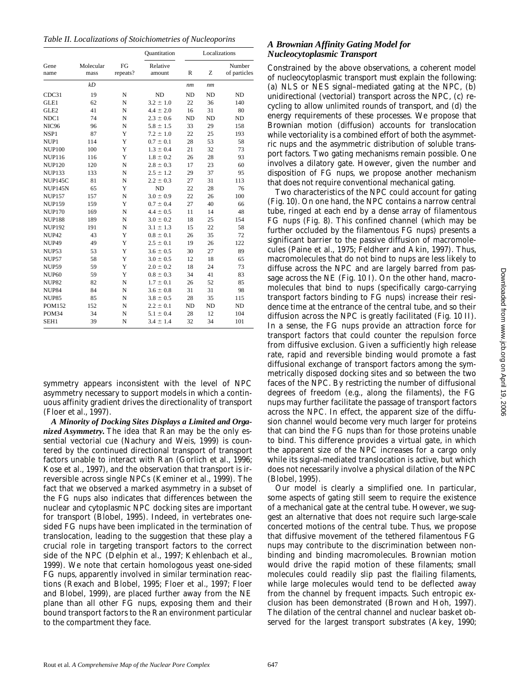*Table II. Localizations of Stoichiometries of Nucleoporins*

|                   |                   |                | Quantitation       | Localizations  |           |                        |  |
|-------------------|-------------------|----------------|--------------------|----------------|-----------|------------------------|--|
| Gene<br>name      | Molecular<br>mass | FG<br>repeats? | Relative<br>amount | $\mathbb{R}$   | Z         | Number<br>of particles |  |
|                   | kD                |                |                    | nm             | nm        |                        |  |
| CDC31             | 19                | N              | N <sub>D</sub>     | N <sub>D</sub> | <b>ND</b> | N <sub>D</sub>         |  |
| GLE1              | 62                | N              | $3.2 \pm 1.0$      | 22             | 36        | 140                    |  |
| GLE <sub>2</sub>  | 41                | N              | $4.4 \pm 2.0$      | 16             | 31        | 80                     |  |
| NDC1              | 74                | N              | $2.3 \pm 0.6$      | ND             | <b>ND</b> | N <sub>D</sub>         |  |
| NIC <sub>96</sub> | 96                | N              | $5.8 \pm 1.5$      | 33             | 29        | 158                    |  |
| NSP1              | 87                | Y              | $7.2 \pm 1.0$      | 22             | 25        | 193                    |  |
| NUP1              | 114               | Y              | $0.7 \pm 0.1$      | 28             | 53        | 58                     |  |
| <b>NUP100</b>     | 100               | Y              | $1.3 \pm 0.4$      | 21             | 32        | 73                     |  |
| <b>NUP116</b>     | 116               | Y              | $1.8 \pm 0.2$      | 26             | 28        | 93                     |  |
| <b>NUP120</b>     | 120               | N              | $2.8 \pm 0.3$      | 17             | 23        | 60                     |  |
| <b>NUP133</b>     | 133               | N              | $2.5 \pm 1.2$      | 29             | 37        | 95                     |  |
| <b>NUP145C</b>    | 81                | N              | $2.2 \pm 0.3$      | 27             | 31        | 113                    |  |
| <b>NUP145N</b>    | 65                | Y              | N <sub>D</sub>     | 22             | 28        | 76                     |  |
| <b>NUP157</b>     | 157               | N              | $3.0 \pm 0.9$      | 22             | 26        | 100                    |  |
| <b>NUP159</b>     | 159               | Y              | $0.7 \pm 0.4$      | 27             | 40        | 66                     |  |
| <b>NUP170</b>     | 169               | N              | $4.4 \pm 0.5$      | 11             | 14        | 48                     |  |
| <b>NUP188</b>     | 189               | N              | $3.0 \pm 0.2$      | 18             | 25        | 154                    |  |
| <b>NUP192</b>     | 191               | N              | $3.1 \pm 1.3$      | 15             | 22        | 58                     |  |
| NUP <sub>42</sub> | 43                | Y              | $0.8 \pm 0.1$      | 26             | 35        | 72                     |  |
| NUP <sub>49</sub> | 49                | Y              | $2.5 \pm 0.1$      | 19             | 26        | 122                    |  |
| NUP <sub>53</sub> | 53                | Y              | $3.6 \pm 0.5$      | 30             | 27        | 89                     |  |
| NUP57             | 58                | Y              | $3.0 \pm 0.5$      | 12             | 18        | 65                     |  |
| <b>NUP59</b>      | 59                | Y              | $2.0 \pm 0.2$      | 18             | 24        | 73                     |  |
| NUP <sub>60</sub> | 59                | Y              | $0.8 \pm 0.3$      | 34             | 41        | 83                     |  |
| <b>NUP82</b>      | 82                | N              | $1.7 \pm 0.1$      | 26             | 52        | 85                     |  |
| NUP84             | 84                | N              | $3.6 \pm 0.8$      | 31             | 31        | 98                     |  |
| <b>NUP85</b>      | 85                | N              | $3.8 \pm 0.5$      | 28             | 35        | 115                    |  |
| <b>POM152</b>     | 152               | N              | $2.2 \pm 0.1$      | ND             | ND        | <b>ND</b>              |  |
| POM34             | 34                | N              | $5.1 \pm 0.4$      | 28             | 12        | 104                    |  |
| SEH1              | 39                | N              | $3.4 \pm 1.4$      | 32             | 34        | 101                    |  |

symmetry appears inconsistent with the level of NPC asymmetry necessary to support models in which a continuous affinity gradient drives the directionality of transport (Floer et al., 1997).

*A Minority of Docking Sites Displays a Limited and Organized Asymmetry.* The idea that Ran may be the only essential vectorial cue (Nachury and Weis, 1999) is countered by the continued directional transport of transport factors unable to interact with Ran (Gorlich et al., 1996; Kose et al., 1997), and the observation that transport is irreversible across single NPCs (Keminer et al., 1999). The fact that we observed a marked asymmetry in a subset of the FG nups also indicates that differences between the nuclear and cytoplasmic NPC docking sites are important for transport (Blobel, 1995). Indeed, in vertebrates onesided FG nups have been implicated in the termination of translocation, leading to the suggestion that these play a crucial role in targeting transport factors to the correct side of the NPC (Delphin et al., 1997; Kehlenbach et al., 1999). We note that certain homologous yeast one-sided FG nups, apparently involved in similar termination reactions (Rexach and Blobel, 1995; Floer et al., 1997; Floer and Blobel, 1999), are placed further away from the NE plane than all other FG nups, exposing them and their bound transport factors to the Ran environment particular to the compartment they face.

## *A Brownian Affinity Gating Model for Nucleocytoplasmic Transport*

Constrained by the above observations, a coherent model of nucleocytoplasmic transport must explain the following: (a) NLS or NES signal–mediated gating at the NPC, (b) unidirectional (vectorial) transport across the NPC, (c) recycling to allow unlimited rounds of transport, and (d) the energy requirements of these processes. We propose that Brownian motion (diffusion) accounts for translocation while vectoriality is a combined effort of both the asymmetric nups and the asymmetric distribution of soluble transport factors. Two gating mechanisms remain possible. One involves a dilatory gate. However, given the number and disposition of FG nups, we propose another mechanism that does not require conventional mechanical gating.

Two characteristics of the NPC could account for gating (Fig. 10). On one hand, the NPC contains a narrow central tube, ringed at each end by a dense array of filamentous FG nups (Fig. 8). This confined channel (which may be further occluded by the filamentous FG nups) presents a significant barrier to the passive diffusion of macromolecules (Paine et al., 1975; Feldherr and Akin, 1997). Thus, macromolecules that do not bind to nups are less likely to diffuse across the NPC and are largely barred from passage across the NE (Fig. 10 I). On the other hand, macromolecules that bind to nups (specifically cargo-carrying transport factors binding to FG nups) increase their residence time at the entrance of the central tube, and so their diffusion across the NPC is greatly facilitated (Fig. 10 II). In a sense, the FG nups provide an attraction force for transport factors that could counter the repulsion force from diffusive exclusion. Given a sufficiently high release rate, rapid and reversible binding would promote a fast diffusional exchange of transport factors among the symmetrically disposed docking sites and so between the two faces of the NPC. By restricting the number of diffusional degrees of freedom (e.g., along the filaments), the FG nups may further facilitate the passage of transport factors across the NPC. In effect, the apparent size of the diffusion channel would become very much larger for proteins that can bind the FG nups than for those proteins unable to bind. This difference provides a virtual gate, in which the apparent size of the NPC increases for a cargo only while its signal-mediated translocation is active, but which does not necessarily involve a physical dilation of the NPC (Blobel, 1995).

Our model is clearly a simplified one. In particular, some aspects of gating still seem to require the existence of a mechanical gate at the central tube. However, we suggest an alternative that does not require such large-scale concerted motions of the central tube. Thus, we propose that diffusive movement of the tethered filamentous FG nups may contribute to the discrimination between nonbinding and binding macromolecules. Brownian motion would drive the rapid motion of these filaments; small molecules could readily slip past the flailing filaments, while large molecules would tend to be deflected away from the channel by frequent impacts. Such entropic exclusion has been demonstrated (Brown and Hoh, 1997). The dilation of the central channel and nuclear basket observed for the largest transport substrates (Akey, 1990;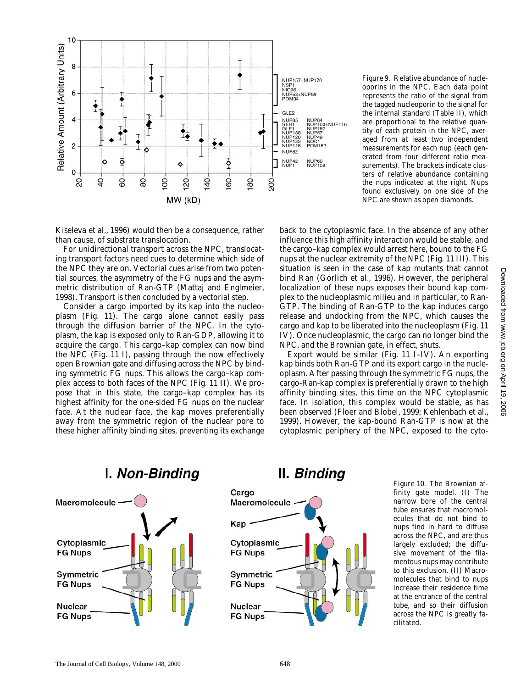

*Figure 9.* Relative abundance of nucleoporins in the NPC. Each data point represents the ratio of the signal from the tagged nucleoporin to the signal for the internal standard (Table II), which are proportional to the relative quantity of each protein in the NPC, averaged from at least two independent measurements for each nup (each generated from four different ratio measurements). The brackets indicate clusters of relative abundance containing the nups indicated at the right. Nups found exclusively on one side of the NPC are shown as open diamonds.

Kiseleva et al., 1996) would then be a consequence, rather than cause, of substrate translocation.

For unidirectional transport across the NPC, translocating transport factors need cues to determine which side of the NPC they are on. Vectorial cues arise from two potential sources, the asymmetry of the FG nups and the asymmetric distribution of Ran-GTP (Mattaj and Englmeier, 1998). Transport is then concluded by a vectorial step.

Consider a cargo imported by its kap into the nucleoplasm (Fig. 11). The cargo alone cannot easily pass through the diffusion barrier of the NPC. In the cytoplasm, the kap is exposed only to Ran-GDP, allowing it to acquire the cargo. This cargo–kap complex can now bind the NPC (Fig. 11 I), passing through the now effectively open Brownian gate and diffusing across the NPC by binding symmetric FG nups. This allows the cargo–kap complex access to both faces of the NPC (Fig. 11 II). We propose that in this state, the cargo–kap complex has its highest affinity for the one-sided FG nups on the nuclear face. At the nuclear face, the kap moves preferentially away from the symmetric region of the nuclear pore to these higher affinity binding sites, preventing its exchange

back to the cytoplasmic face. In the absence of any other influence this high affinity interaction would be stable, and the cargo–kap complex would arrest here, bound to the FG nups at the nuclear extremity of the NPC (Fig. 11 III). This situation is seen in the case of kap mutants that cannot bind Ran (Gorlich et al., 1996). However, the peripheral localization of these nups exposes their bound kap complex to the nucleoplasmic milieu and in particular, to Ran-GTP. The binding of Ran-GTP to the kap induces cargo release and undocking from the NPC, which causes the cargo and kap to be liberated into the nucleoplasm (Fig. 11 IV). Once nucleoplasmic, the cargo can no longer bind the NPC, and the Brownian gate, in effect, shuts.

Export would be similar (Fig. 11 I–IV). An exporting kap binds both Ran-GTP and its export cargo in the nucleoplasm. After passing through the symmetric FG nups, the cargo-Ran-kap complex is preferentially drawn to the high affinity binding sites, this time on the NPC cytoplasmic face. In isolation, this complex would be stable, as has been observed (Floer and Blobel, 1999; Kehlenbach et al., 1999). However, the kap-bound Ran-GTP is now at the cytoplasmic periphery of the NPC, exposed to the cyto-





# II. Binding



*Figure 10.* The Brownian affinity gate model. (I) The narrow bore of the central tube ensures that macromolecules that do not bind to nups find in hard to diffuse across the NPC, and are thus largely excluded; the diffusive movement of the filamentous nups may contribute to this exclusion. (II) Macromolecules that bind to nups increase their residence time at the entrance of the central tube, and so their diffusion across the NPC is greatly facilitated.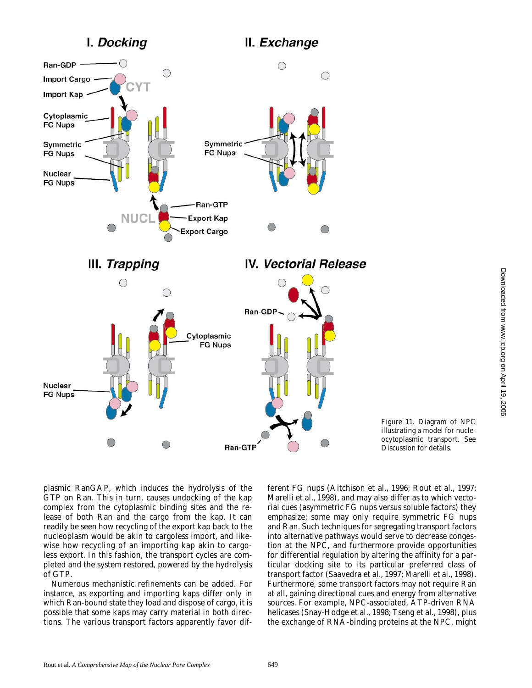

illustrating a model for nucleocytoplasmic transport. See Discussion for details.

*Figure 11.* Diagram of NPC

plasmic RanGAP, which induces the hydrolysis of the GTP on Ran. This in turn, causes undocking of the kap complex from the cytoplasmic binding sites and the release of both Ran and the cargo from the kap. It can readily be seen how recycling of the export kap back to the nucleoplasm would be akin to cargoless import, and likewise how recycling of an importing kap akin to cargoless export. In this fashion, the transport cycles are completed and the system restored, powered by the hydrolysis of GTP.

Numerous mechanistic refinements can be added. For instance, as exporting and importing kaps differ only in which Ran-bound state they load and dispose of cargo, it is possible that some kaps may carry material in both directions. The various transport factors apparently favor different FG nups (Aitchison et al., 1996; Rout et al., 1997; Marelli et al., 1998), and may also differ as to which vectorial cues (asymmetric FG nups versus soluble factors) they emphasize; some may only require symmetric FG nups and Ran. Such techniques for segregating transport factors into alternative pathways would serve to decrease congestion at the NPC, and furthermore provide opportunities for differential regulation by altering the affinity for a particular docking site to its particular preferred class of transport factor (Saavedra et al., 1997; Marelli et al., 1998). Furthermore, some transport factors may not require Ran at all, gaining directional cues and energy from alternative sources. For example, NPC-associated, ATP-driven RNA helicases (Snay-Hodge et al., 1998; Tseng et al., 1998), plus the exchange of RNA-binding proteins at the NPC, might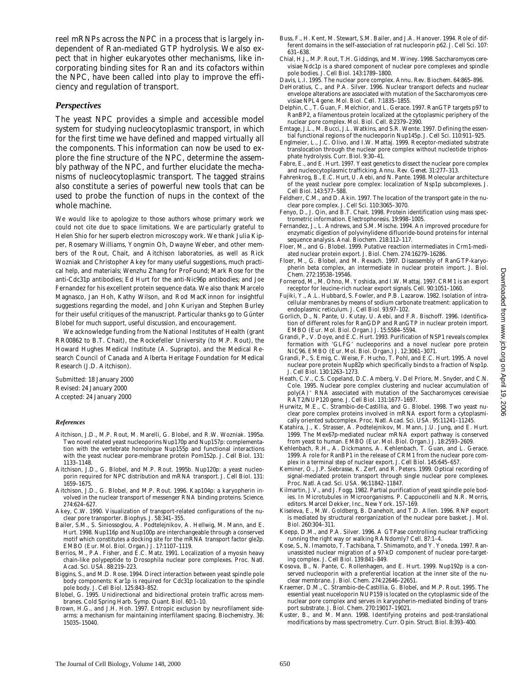reel mRNPs across the NPC in a process that is largely independent of Ran-mediated GTP hydrolysis. We also expect that in higher eukaryotes other mechanisms, like incorporating binding sites for Ran and its cofactors within the NPC, have been called into play to improve the efficiency and regulation of transport.

#### *Perspectives*

The yeast NPC provides a simple and accessible model system for studying nucleocytoplasmic transport, in which for the first time we have defined and mapped virtually all the components. This information can now be used to explore the fine structure of the NPC, determine the assembly pathway of the NPC, and further elucidate the mechanisms of nucleocytoplasmic transport. The tagged strains also constitute a series of powerful new tools that can be used to probe the function of nups in the context of the whole machine.

We would like to apologize to those authors whose primary work we could not cite due to space limitations. We are particularly grateful to Helen Shio for her superb electron microscopy work. We thank Julia Kipper, Rosemary Williams, Yongmin Oh, Dwayne Weber, and other members of the Rout, Chait, and Aitchison laboratories, as well as Rick Wozniak and Christopher Akey for many useful suggestions, much practical help, and materials; Wenzhu Zhang for ProFound; Mark Rose for the anti-Cdc31p antibodies; Ed Hurt for the anti-Nic96p antibodies; and Joe Fernandez for his excellent protein sequence data. We also thank Marcelo Magnasco, Jan Hoh, Kathy Wilson, and Rod MacKinnon for insightful suggestions regarding the model, and John Kuriyan and Stephen Burley for their useful critiques of the manuscript. Particular thanks go to Günter Blobel for much support, useful discussion, and encouragement.

We acknowledge funding from the National Institutes of Health (grant RR00862 to B.T. Chait), the Rockefeller University (to M.P. Rout), the Howard Hughes Medical Institute (A. Suprapto), and the Medical Research Council of Canada and Alberta Heritage Foundation for Medical Research (J.D. Aitchison).

Submitted: 18 January 2000 Revised: 24 January 2000 Accepted: 24 January 2000

#### *References*

- Aitchison, J.D., M.P. Rout, M. Marelli, G. Blobel, and R.W. Wozniak. 1995a. Two novel related yeast nucleoporins Nup170p and Nup157p: complementation with the vertebrate homologue Nup155p and functional interactions with the yeast nuclear pore-membrane protein Pom152p. *J. Cell Biol.* 131: 1133–1148.
- Aitchison, J.D., G. Blobel, and M.P. Rout. 1995b. Nup120p: a yeast nucleoporin required for NPC distribution and mRNA transport. *J. Cell Biol.* 131: 1659–1675.
- Aitchison, J.D., G. Blobel, and M.P. Rout. 1996. Kap104p: a karyopherin involved in the nuclear transport of messenger RNA binding proteins. *Science*. 274:624–627.
- Akey, C.W. 1990. Visualization of transport-related configurations of the nuclear pore transporter. *Biophys. J.* 58:341–355.
- Bailer, S.M., S. Siniossoglou, A. Podtelejnikov, A. Hellwig, M. Mann, and E. Hurt. 1998. Nup116p and Nup100p are interchangeable through a conserved motif which constitutes a docking site for the mRNA transport factor gle2p. *EMBO (Eur. Mol. Biol. Organ.) J.* 17:1107–1119.
- Berrios, M., P.A. Fisher, and E.C. Matz. 1991. Localization of a myosin heavy chain-like polypeptide to *Drosophila* nuclear pore complexes. *Proc. Natl. Acad. Sci. USA.* 88:219–223.
- Biggins, S., and M.D. Rose. 1994. Direct interaction between yeast spindle pole body components: Kar1p is required for Cdc31p localization to the spindle pole body. *J. Cell Biol.* 125:843–852.
- Blobel, G. 1995. Unidirectional and bidirectional protein traffic across membranes. *Cold Spring Harb. Symp. Quant. Biol.* 60:1–10.
- Brown, H.G., and J.H. Hoh. 1997. Entropic exclusion by neurofilament sidearms: a mechanism for maintaining interfilament spacing. *Biochemistry*. 36: 15035–15040.
- Buss, F., H. Kent, M. Stewart, S.M. Bailer, and J.A. Hanover. 1994. Role of different domains in the self-association of rat nucleoporin p62. *J. Cell Sci.* 107: 631–638.
- Chial, H.J., M.P. Rout, T.H. Giddings, and M. Winey. 1998. *Saccharomyces cerevisiae* Ndc1p is a shared component of nuclear pore complexes and spindle pole bodies. *J. Cell Biol.* 143:1789–1800.
- Davis, L.I. 1995. The nuclear pore complex. *Annu. Rev. Biochem.* 64:865–896.
- DeHoratius, C., and P.A. Silver. 1996. Nuclear transport defects and nuclear envelope alterations are associated with mutation of the *Saccharomyces cerevisiae* NPL4 gene. *Mol. Biol. Cell.* 7:1835–1855.
- Delphin, C., T. Guan, F. Melchior, and L. Gerace. 1997. RanGTP targets p97 to RanBP2, a filamentous protein localized at the cytoplasmic periphery of the nuclear pore complex. *Mol. Biol. Cell.* 8:2379–2390.
- Emtage, J.L., M. Bucci, J.L. Watkins, and S.R. Wente. 1997. Defining the essential functional regions of the nucleoporin Nup145p. *J. Cell Sci.* 110:911–925.
- Englmeier, L., J.C. Olivo, and I.W. Mattaj. 1999. Receptor-mediated substrate translocation through the nuclear pore complex without nucleotide triphosphate hydrolysis. *Curr. Biol.* 9:30–41.
- Fabre, E., and E. Hurt. 1997. Yeast genetics to dissect the nuclear pore complex and nucleocytoplasmic trafficking. *Annu. Rev. Genet.* 31:277–313.
- Fahrenkrog, B., E.C. Hurt, U. Aebi, and N. Pante. 1998. Molecular architecture of the yeast nuclear pore complex: localization of Nsp1p subcomplexes. *J. Cell Biol.* 143:577–588.
- Feldherr, C.M., and D. Akin. 1997. The location of the transport gate in the nuclear pore complex. *J. Cell Sci.* 110:3065–3070.
- Fenyo, D., J. Qin, and B.T. Chait. 1998. Protein identification using mass spectrometric information. *Electrophoresis*. 19:998–1005.
- Fernandez, J., L. Andrews, and S.M. Mische. 1994. An improved procedure for enzymatic digestion of polyvinylidene difluoride-bound proteins for internal sequence analysis. *Anal. Biochem.* 218:112–117.
- Floer, M., and G. Blobel. 1999. Putative reaction intermediates in Crm1-mediated nuclear protein export. *J. Biol. Chem.* 274:16279–16286.
- Floer, M., G. Blobel, and M. Rexach. 1997. Disassembly of RanGTP-karyopherin beta complex, an intermediate in nuclear protein import. *J. Biol. Chem.* 272:19538–19546.
- Fornerod, M., M. Ohno, M. Yoshida, and I.W. Mattaj. 1997. CRM1 is an export receptor for leucine-rich nuclear export signals. *Cell*. 90:1051–1060.
- Fujiki, Y., A.L. Hubbard, S. Fowler, and P.B. Lazarow. 1982. Isolation of intracellular membranes by means of sodium carbonate treatment: application to endoplasmic reticulum. *J. Cell Biol.* 93:97–102.
- Gorlich, D., N. Pante, U. Kutay, U. Aebi, and F.R. Bischoff. 1996. Identification of different roles for RanGDP and RanGTP in nuclear protein import. *EMBO (Eur. Mol. Biol. Organ.) J.* 15:5584–5594.
- Grandi, P., V. Doye, and E.C. Hurt. 1993. Purification of NSP1 reveals complex formation with 'GLFG' nucleoporins and a novel nuclear pore protein NIC96. *EMBO (Eur. Mol. Biol. Organ.) J.* 12:3061–3071.
- Grandi, P., S. Emig, C. Weise, F. Hucho, T. Pohl, and E.C. Hurt. 1995. A novel nuclear pore protein Nup82p which specifically binds to a fraction of Nsp1p. *J. Cell Biol.* 130:1263–1273.
- Heath, C.V., C.S. Copeland, D.C. Amberg, V. Del Priore, M. Snyder, and C.N. Cole. 1995. Nuclear pore complex clustering and nuclear accumulation of<br>poly(A)+ RNA associated with mutation of the *Saccharomyces cerevisiae* RAT2/NUP120 gene. *J. Cell Biol.* 131:1677–1697.
- Hurwitz, M.E., C. Strambio-de-Castillia, and G. Blobel. 1998. Two yeast nuclear pore complex proteins involved in mRNA export form a cytoplasmically oriented subcomplex. *Proc. Natl. Acad. Sci. USA.* 95:11241–11245.
- Katahira, J., K. Strasser, A. Podtelejnikov, M. Mann, J.U. Jung, and E. Hurt. 1999. The Mex67p-mediated nuclear mRNA export pathway is conserved from yeast to human. *EMBO (Eur. Mol. Biol. Organ.) J.* 18:2593–2609.
- Kehlenbach, R.H., A. Dickmanns, A. Kehlenbach, T. Guan, and L. Gerace. 1999. A role for RanBP1 in the release of CRM1 from the nuclear pore complex in a terminal step of nuclear export. *J. Cell Biol.* 145:645–657.
- Keminer, O., J.P. Siebrasse, K. Zerf, and R. Peters. 1999. Optical recording of signal-mediated protein transport through single nuclear pore complexes. *Proc. Natl. Acad. Sci. USA.* 96:11842–11847.
- Kilmartin, J.V., and J. Fogg. 1982. Partial purification of yeast spindle pole bodies. *In* Microtubules in Microorganisms. P. Cappuccinelli and N.R. Morris, editors. Marcel Dekker, Inc., New York. 157–169.
- Kiseleva, E., M.W. Goldberg, B. Daneholt, and T.D. Allen. 1996. RNP export is mediated by structural reorganization of the nuclear pore basket. *J. Mol. Biol.* 260:304–311.
- Koepp, D.M., and P.A. Silver. 1996. A GTPase controlling nuclear trafficking: running the right way or walking RANdomly? *Cell*. 87:1–4.
- Kose, S., N. Imamoto, T. Tachibana, T. Shimamoto, and Y. Yoneda. 1997. Ranunassisted nuclear migration of a 97-kD component of nuclear pore-targeting complex. *J. Cell Biol.* 139:841–849.
- Kosova, B., N. Pante, C. Rollenhagen, and E. Hurt. 1999. Nup192p is a conserved nucleoporin with a preferential location at the inner site of the nuclear membrane. *J. Biol. Chem.* 274:22646–22651.
- Kraemer, D.M., C. Strambio-de-Castillia, G. Blobel, and M.P. Rout. 1995. The essential yeast nuceloporin NUP159 is located on the cytoplasmic side of the nuclear pore complex and serves in karyopherin-mediated binding of transport substrate. *J. Biol. Chem.* 270:19017–19021.
- Kuster, B., and M. Mann. 1998. Identifying proteins and post-translational modifications by mass spectrometry. *Curr. Opin. Struct. Biol.* 8:393–400.